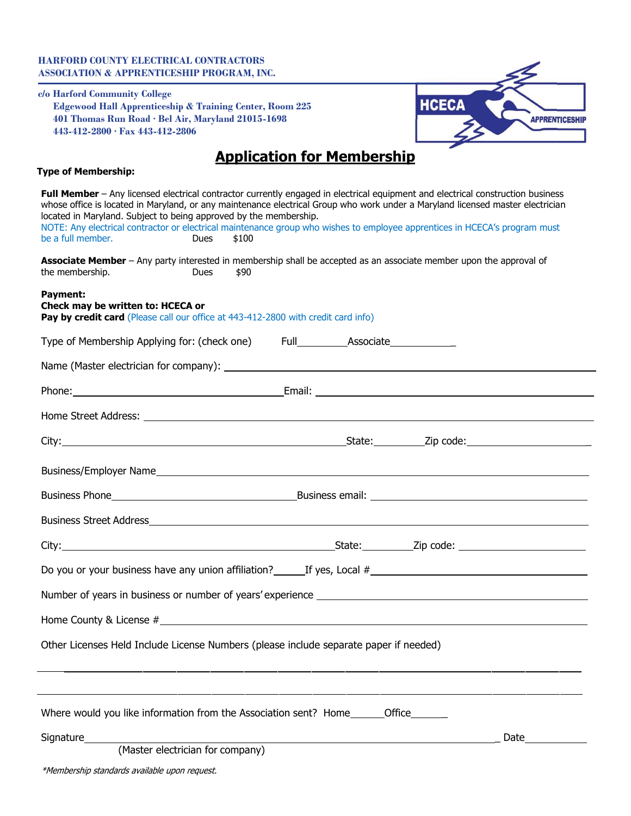### **HARFORD COUNTY ELECTRICAL CONTRACTORS ASSOCIATION & APPRENTICESHIP PROGRAM, INC.**

**c/o Harford Community College Edgewood Hall Apprenticeship & Training Center, Room 225 401 Thomas Run Road · Bel Air, Maryland 21015-1698 443-412-2800 · Fax 443-412-2806**



# **Application for Membership**

| <b>Type of Membership:</b>                                                                                                                                                                                                                                                                                                                                                                                                                                                                                 |
|------------------------------------------------------------------------------------------------------------------------------------------------------------------------------------------------------------------------------------------------------------------------------------------------------------------------------------------------------------------------------------------------------------------------------------------------------------------------------------------------------------|
| Full Member - Any licensed electrical contractor currently engaged in electrical equipment and electrical construction business<br>whose office is located in Maryland, or any maintenance electrical Group who work under a Maryland licensed master electrician<br>located in Maryland. Subject to being approved by the membership.<br>NOTE: Any electrical contractor or electrical maintenance group who wishes to employee apprentices in HCECA's program must<br>be a full member.<br>\$100<br>Dues |
| Associate Member - Any party interested in membership shall be accepted as an associate member upon the approval of<br>the membership.<br><b>Dues</b><br>\$90                                                                                                                                                                                                                                                                                                                                              |
| Payment:<br>Check may be written to: HCECA or<br>Pay by credit card (Please call our office at 443-412-2800 with credit card info)                                                                                                                                                                                                                                                                                                                                                                         |
| Type of Membership Applying for: (check one) Full_______________________________                                                                                                                                                                                                                                                                                                                                                                                                                           |
|                                                                                                                                                                                                                                                                                                                                                                                                                                                                                                            |
|                                                                                                                                                                                                                                                                                                                                                                                                                                                                                                            |
|                                                                                                                                                                                                                                                                                                                                                                                                                                                                                                            |
|                                                                                                                                                                                                                                                                                                                                                                                                                                                                                                            |
|                                                                                                                                                                                                                                                                                                                                                                                                                                                                                                            |
|                                                                                                                                                                                                                                                                                                                                                                                                                                                                                                            |
|                                                                                                                                                                                                                                                                                                                                                                                                                                                                                                            |
|                                                                                                                                                                                                                                                                                                                                                                                                                                                                                                            |
|                                                                                                                                                                                                                                                                                                                                                                                                                                                                                                            |
|                                                                                                                                                                                                                                                                                                                                                                                                                                                                                                            |
| Home County & License $#$ $\Box$                                                                                                                                                                                                                                                                                                                                                                                                                                                                           |
| Other Licenses Held Include License Numbers (please include separate paper if needed)                                                                                                                                                                                                                                                                                                                                                                                                                      |
| Where would you like information from the Association sent? Home_________Office________                                                                                                                                                                                                                                                                                                                                                                                                                    |
| Signature______<br>Date and the set of the set of the set of the set of the set of the set of the set of the set of the set of th<br>(Master electrician for company)                                                                                                                                                                                                                                                                                                                                      |
| *Membership standards available upon request.                                                                                                                                                                                                                                                                                                                                                                                                                                                              |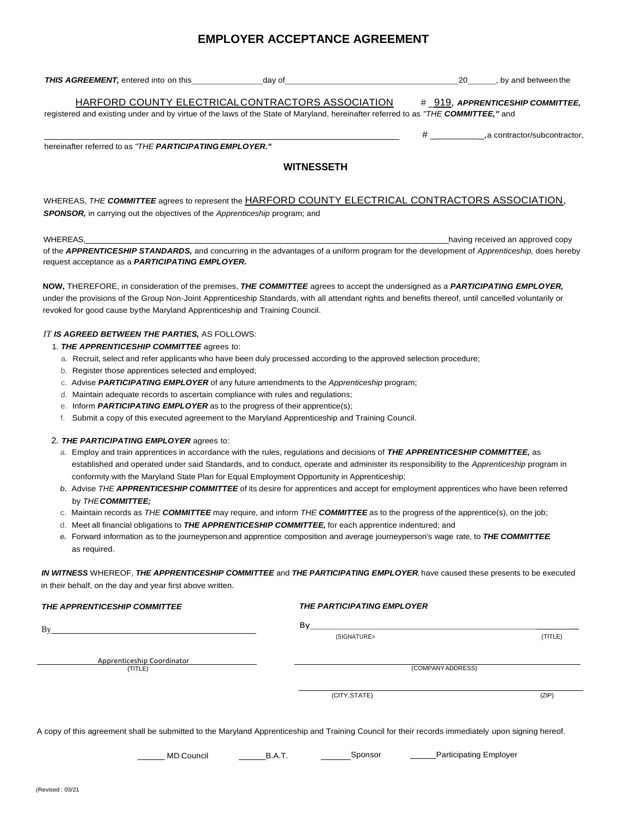## **EMPLOYER ACCEPTANCE AGREEMENT**

| THIS AGREEMENT, entered into on this<br>dav of                                                                                    | 20<br>, by and between the       |
|-----------------------------------------------------------------------------------------------------------------------------------|----------------------------------|
| HARFORD COUNTY ELECTRICAL CONTRACTORS ASSOCIATION                                                                                 | # 919, APPRENTICESHIP COMMITTEE, |
| registered and existing under and by virtue of the laws of the State of Maryland, hereinafter referred to as "THE COMMITTEE," and |                                  |

hereinafter referred to as *"THE PARTICIPATING EMPLOYER."*

#### **WITNESSETH**

# \_\_\_\_\_\_\_\_\_\_\_\_\_,a contractor/subcontractor,

#### WHEREAS, *THE COMMITTEE* agrees to represent the HARFORD COUNTY ELECTRICAL CONTRACTORS ASSOCIATION, *SPONSOR,* in carrying out the objectives of the *Apprenticeship* program; and

WHEREAS, the computation of the control of the control of the control of the control of the control of the control of the control of the control of the control of the control of the control of the control of the control of of the *APPRENTICESHIP STANDARDS,* and concurring in the advantages of a uniform program for the development of *Apprenticeship,* does hereby request acceptance as a *PARTICIPATING EMPLOYER.*

**NOW,** THEREFORE, in consideration of the premises, *THE COMMITTEE* agrees to accept the undersigned as a *PARTICIPATING EMPLOYER,*  under the provisions of the Group Non-Joint Apprenticeship Standards, with all attendant rights and benefits thereof, until cancelled voluntarily or revoked for good cause bythe Maryland Apprenticeship and Training Council.

#### *IT IS AGREED BETWEEN THE PARTIES,* AS FOLLOWS:

- 1. *THE APPRENTICESHIP COMMITTEE* agrees to:
	- a. Recruit, select and refer applicants who have been duly processed according to the approved selection procedure;
	- b. Register those apprentices selected and employed;
	- c. Advise *PARTICIPATING EMPLOYER* of any future amendments to the *Apprenticeship* program;
	- d. Maintain adequate records to ascertain compliance with rules and regulations;
	- e. Inform *PARTICIPATING EMPLOYER* as to the progress of their apprentice(s);
	- f. Submit a copy of this executed agreement to the Maryland Apprenticeship and Training Council.

#### 2. *THE PARTICIPATING EMPLOYER* agrees to:

- a. Employ and train apprentices in accordance with the rules, regulations and decisions of *THE APPRENTICESHIP COMMITTEE,* as established and operated under said Standards, and to conduct, operate and administer its responsibility to the *Apprenticeship* program in conformity with the Maryland State Plan for Equal Employment Opportunity in Apprenticeship;
- *b.* Advise *THE APPRENTICESHIP COMMITTEE* of its desire for apprentices and accept for employment apprentices who have been referred by *THECOMMITTEE;*
- c. Maintain records as *THE COMMITTEE* may require, and inform *THE COMMITTEE* as to the progress of the apprentice(s), on the job;
- d. Meet all financial obligations to *THE APPRENTICESHIP COMMITTEE,* for each apprentice indentured; and
- *e.* Forward information as to the journeypersonand apprentice composition and average journeyperson's wage rate, to *THE COMMITTEE,* as required.

*IN WITNESS* WHEREOF, *THE APPRENTICESHIP COMMITTEE* and *THE PARTICIPATING EMPLOYER,* have caused these presents to be executed in their behalf, on the day and year first above written.

| THE APPRENTICESHIP COMMITTEE                                                                                                                       | <b>THE PARTICIPATING EMPLOYER</b>                  |         |
|----------------------------------------------------------------------------------------------------------------------------------------------------|----------------------------------------------------|---------|
| Bv                                                                                                                                                 | By                                                 |         |
|                                                                                                                                                    | (SIGNATURE>                                        | (TITLE) |
| Apprenticeship Coordinator                                                                                                                         |                                                    |         |
| (TITLE)                                                                                                                                            | (COMPANY ADDRESS)                                  |         |
|                                                                                                                                                    |                                                    |         |
|                                                                                                                                                    | (CITY, STATE)                                      | (ZIP)   |
|                                                                                                                                                    |                                                    |         |
| A copy of this agreement shall be submitted to the Maryland Apprenticeship and Training Council for their records immediately upon signing hereof. |                                                    |         |
| <b>MD Council</b>                                                                                                                                  | <b>Participating Employer</b><br>Sponsor<br>B.A.T. |         |
|                                                                                                                                                    |                                                    |         |